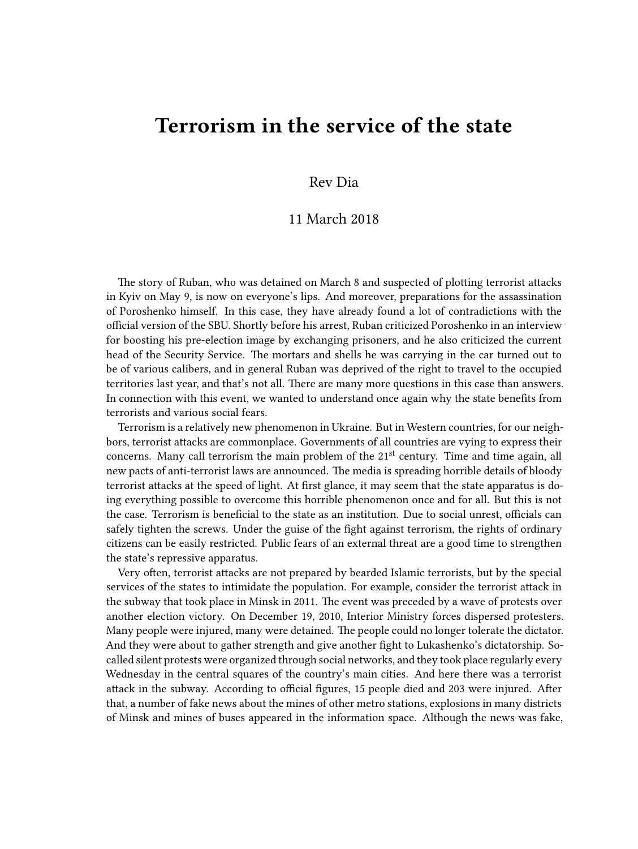## **Terrorism in the service of the state**

## Rev Dia

## 11 March 2018

The story of Ruban, who was detained on March 8 and suspected of plotting terrorist attacks in Kyiv on May 9, is now on everyone's lips. And moreover, preparations for the assassination of Poroshenko himself. In this case, they have already found a lot of contradictions with the official version of the SBU. Shortly before his arrest, Ruban criticized Poroshenko in an interview for boosting his pre-election image by exchanging prisoners, and he also criticized the current head of the Security Service. The mortars and shells he was carrying in the car turned out to be of various calibers, and in general Ruban was deprived of the right to travel to the occupied territories last year, and that's not all. There are many more questions in this case than answers. In connection with this event, we wanted to understand once again why the state benefits from terrorists and various social fears.

Terrorism is a relatively new phenomenon in Ukraine. But in Western countries, for our neighbors, terrorist attacks are commonplace. Governments of all countries are vying to express their concerns. Many call terrorism the main problem of the  $21<sup>st</sup>$  century. Time and time again, all new pacts of anti-terrorist laws are announced. The media is spreading horrible details of bloody terrorist attacks at the speed of light. At first glance, it may seem that the state apparatus is doing everything possible to overcome this horrible phenomenon once and for all. But this is not the case. Terrorism is beneficial to the state as an institution. Due to social unrest, officials can safely tighten the screws. Under the guise of the fight against terrorism, the rights of ordinary citizens can be easily restricted. Public fears of an external threat are a good time to strengthen the state's repressive apparatus.

Very often, terrorist attacks are not prepared by bearded Islamic terrorists, but by the special services of the states to intimidate the population. For example, consider the terrorist attack in the subway that took place in Minsk in 2011. The event was preceded by a wave of protests over another election victory. On December 19, 2010, Interior Ministry forces dispersed protesters. Many people were injured, many were detained. The people could no longer tolerate the dictator. And they were about to gather strength and give another fight to Lukashenko's dictatorship. Socalled silent protests were organized through social networks, and they took place regularly every Wednesday in the central squares of the country's main cities. And here there was a terrorist attack in the subway. According to official figures, 15 people died and 203 were injured. After that, a number of fake news about the mines of other metro stations, explosions in many districts of Minsk and mines of buses appeared in the information space. Although the news was fake,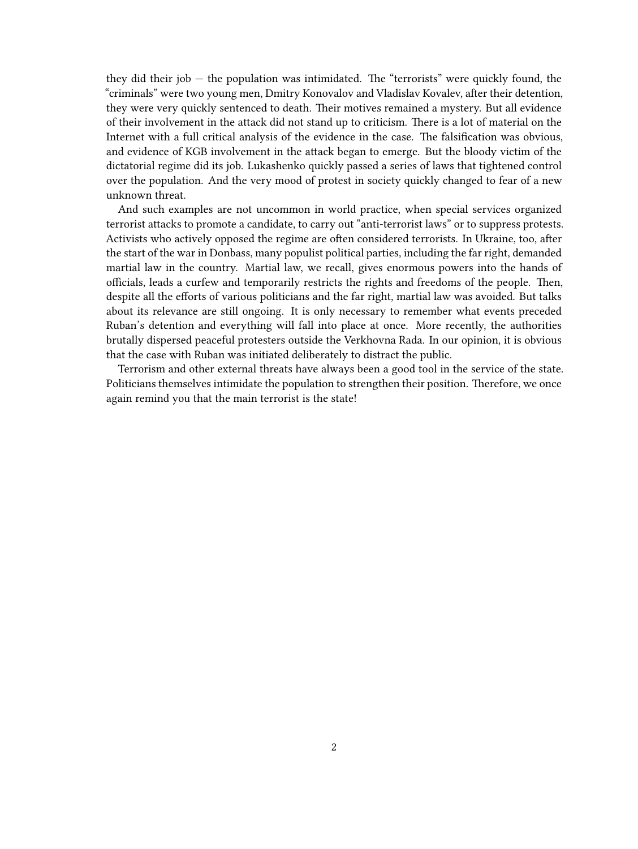they did their job — the population was intimidated. The "terrorists" were quickly found, the "criminals" were two young men, Dmitry Konovalov and Vladislav Kovalev, after their detention, they were very quickly sentenced to death. Their motives remained a mystery. But all evidence of their involvement in the attack did not stand up to criticism. There is a lot of material on the Internet with a full critical analysis of the evidence in the case. The falsification was obvious, and evidence of KGB involvement in the attack began to emerge. But the bloody victim of the dictatorial regime did its job. Lukashenko quickly passed a series of laws that tightened control over the population. And the very mood of protest in society quickly changed to fear of a new unknown threat.

And such examples are not uncommon in world practice, when special services organized terrorist attacks to promote a candidate, to carry out "anti-terrorist laws" or to suppress protests. Activists who actively opposed the regime are often considered terrorists. In Ukraine, too, after the start of the war in Donbass, many populist political parties, including the far right, demanded martial law in the country. Martial law, we recall, gives enormous powers into the hands of officials, leads a curfew and temporarily restricts the rights and freedoms of the people. Then, despite all the efforts of various politicians and the far right, martial law was avoided. But talks about its relevance are still ongoing. It is only necessary to remember what events preceded Ruban's detention and everything will fall into place at once. More recently, the authorities brutally dispersed peaceful protesters outside the Verkhovna Rada. In our opinion, it is obvious that the case with Ruban was initiated deliberately to distract the public.

Terrorism and other external threats have always been a good tool in the service of the state. Politicians themselves intimidate the population to strengthen their position. Therefore, we once again remind you that the main terrorist is the state!